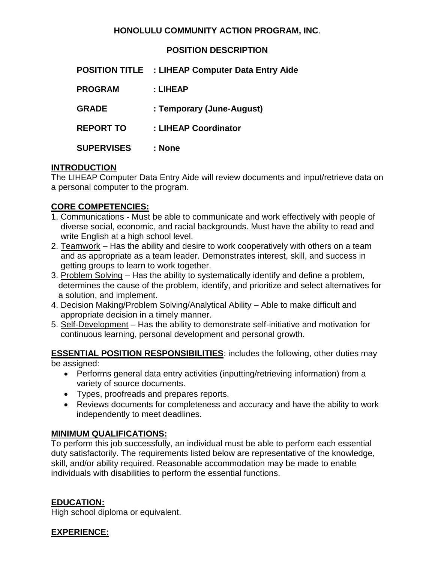#### **HONOLULU COMMUNITY ACTION PROGRAM, INC**.

**POSITION DESCRIPTION**

|                   | <b>POSITION TITLE : LIHEAP Computer Data Entry Aide</b> |
|-------------------|---------------------------------------------------------|
| <b>PROGRAM</b>    | : LIHEAP                                                |
| <b>GRADE</b>      | : Temporary (June-August)                               |
| <b>REPORT TO</b>  | : LIHEAP Coordinator                                    |
| <b>SUPERVISES</b> | : None                                                  |

# **INTRODUCTION**

The LIHEAP Computer Data Entry Aide will review documents and input/retrieve data on a personal computer to the program.

# **CORE COMPETENCIES:**

- 1. Communications Must be able to communicate and work effectively with people of diverse social, economic, and racial backgrounds. Must have the ability to read and write English at a high school level.
- 2. Teamwork Has the ability and desire to work cooperatively with others on a team and as appropriate as a team leader. Demonstrates interest, skill, and success in getting groups to learn to work together.
- 3. Problem Solving Has the ability to systematically identify and define a problem, determines the cause of the problem, identify, and prioritize and select alternatives for a solution, and implement.
- 4. Decision Making/Problem Solving/Analytical Ability Able to make difficult and appropriate decision in a timely manner.
- 5. Self-Development Has the ability to demonstrate self-initiative and motivation for continuous learning, personal development and personal growth.

**ESSENTIAL POSITION RESPONSIBILITIES**: includes the following, other duties may be assigned:

- Performs general data entry activities (inputting/retrieving information) from a variety of source documents.
- Types, proofreads and prepares reports.
- Reviews documents for completeness and accuracy and have the ability to work independently to meet deadlines.

# **MINIMUM QUALIFICATIONS:**

To perform this job successfully, an individual must be able to perform each essential duty satisfactorily. The requirements listed below are representative of the knowledge, skill, and/or ability required. Reasonable accommodation may be made to enable individuals with disabilities to perform the essential functions.

#### **EDUCATION:**

High school diploma or equivalent.

# **EXPERIENCE:**